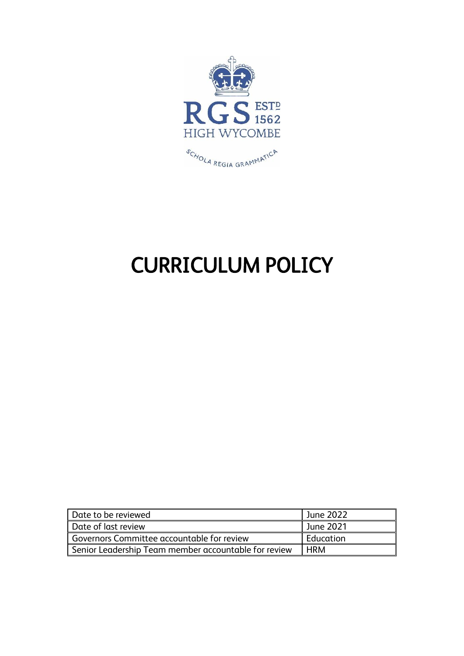

# CURRICULUM POLICY

| Date to be reviewed                                  | June 2022  |
|------------------------------------------------------|------------|
| Date of last review                                  | June 2021  |
| Governors Committee accountable for review           | Education  |
| Senior Leadership Team member accountable for review | <b>HRM</b> |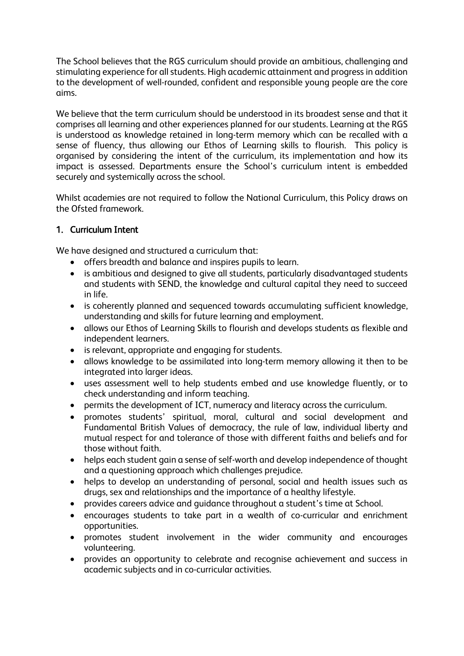The School believes that the RGS curriculum should provide an ambitious, challenging and stimulating experience for all students. High academic attainment and progress in addition to the development of well-rounded, confident and responsible young people are the core aims.

We believe that the term curriculum should be understood in its broadest sense and that it comprises all learning and other experiences planned for our students. Learning at the RGS is understood as knowledge retained in long-term memory which can be recalled with a sense of fluency, thus allowing our Ethos of Learning skills to flourish. This policy is organised by considering the intent of the curriculum, its implementation and how its impact is assessed. Departments ensure the School's curriculum intent is embedded securely and systemically across the school.

Whilst academies are not required to follow the National Curriculum, this Policy draws on the Ofsted framework.

# 1. Curriculum Intent

We have designed and structured a curriculum that:

- offers breadth and balance and inspires pupils to learn.
- is ambitious and designed to give all students, particularly disadvantaged students and students with SEND, the knowledge and cultural capital they need to succeed in life.
- is coherently planned and sequenced towards accumulating sufficient knowledge, understanding and skills for future learning and employment.
- allows our Ethos of Learning Skills to flourish and develops students as flexible and independent learners.
- is relevant, appropriate and engaging for students.
- allows knowledge to be assimilated into long-term memory allowing it then to be integrated into larger ideas.
- uses assessment well to help students embed and use knowledge fluently, or to check understanding and inform teaching.
- permits the development of ICT, numeracy and literacy across the curriculum.
- promotes students' spiritual, moral, cultural and social development and Fundamental British Values of democracy, the rule of law, individual liberty and mutual respect for and tolerance of those with different faiths and beliefs and for those without faith.
- helps each student gain a sense of self-worth and develop independence of thought and a questioning approach which challenges prejudice.
- helps to develop an understanding of personal, social and health issues such as drugs, sex and relationships and the importance of a healthy lifestyle.
- provides careers advice and guidance throughout a student's time at School.
- encourages students to take part in a wealth of co-curricular and enrichment opportunities.
- promotes student involvement in the wider community and encourages volunteering.
- provides an opportunity to celebrate and recognise achievement and success in academic subjects and in co-curricular activities.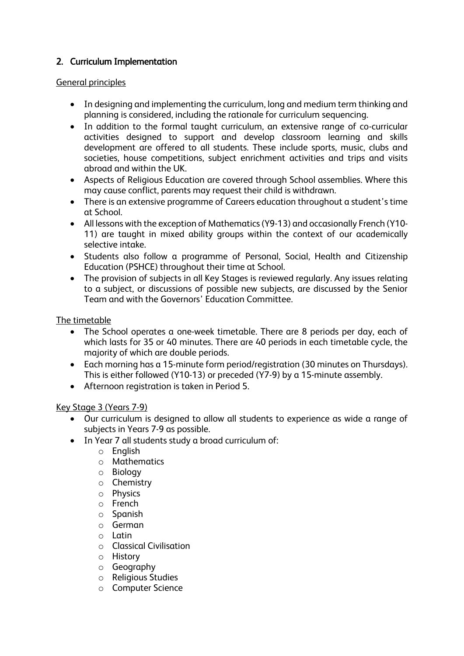# 2. Curriculum Implementation

## General principles

- In designing and implementing the curriculum, long and medium term thinking and planning is considered, including the rationale for curriculum sequencing.
- In addition to the formal taught curriculum, an extensive range of co-curricular activities designed to support and develop classroom learning and skills development are offered to all students. These include sports, music, clubs and societies, house competitions, subject enrichment activities and trips and visits abroad and within the UK.
- Aspects of Religious Education are covered through School assemblies. Where this may cause conflict, parents may request their child is withdrawn.
- There is an extensive programme of Careers education throughout a student's time at School.
- All lessons with the exception of Mathematics (Y9-13) and occasionally French (Y10- 11) are taught in mixed ability groups within the context of our academically selective intake.
- Students also follow a programme of Personal, Social, Health and Citizenship Education (PSHCE) throughout their time at School.
- The provision of subjects in all Key Stages is reviewed regularly. Any issues relating to a subject, or discussions of possible new subjects, are discussed by the Senior Team and with the Governors' Education Committee.

## The timetable

- The School operates a one-week timetable. There are 8 periods per day, each of which lasts for 35 or 40 minutes. There are 40 periods in each timetable cycle, the majority of which are double periods.
- Each morning has a 15-minute form period/registration (30 minutes on Thursdays). This is either followed (Y10-13) or preceded (Y7-9) by a 15-minute assembly.
- Afternoon registration is taken in Period 5.

#### Key Stage 3 (Years 7-9)

- Our curriculum is designed to allow all students to experience as wide a range of subjects in Years 7-9 as possible.
- In Year 7 all students study a broad curriculum of:
	- o English
	- o Mathematics
	- o Biology
	- o Chemistry
	- o Physics
	- o French
	- o Spanish
	- o German
	- o Latin
	- o Classical Civilisation
	- o History
	- o Geography
	- o Religious Studies
	- o Computer Science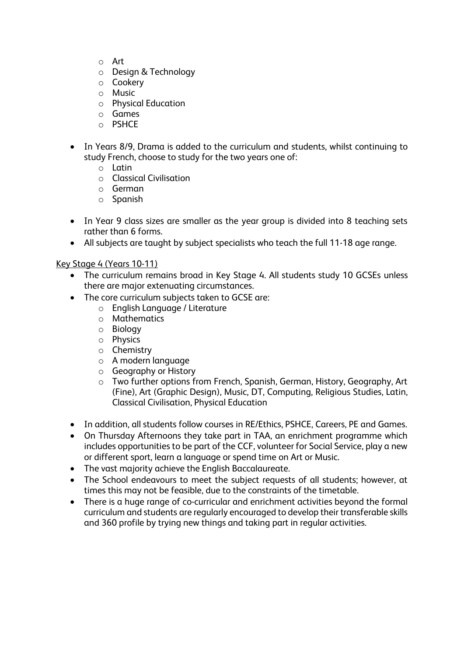- o Art
- o Design & Technology
- o Cookery
- o Music
- o Physical Education
- o Games
- o PSHCE
- In Years 8/9, Drama is added to the curriculum and students, whilst continuing to study French, choose to study for the two years one of:
	- o Latin
	- o Classical Civilisation
	- o German
	- o Spanish
- In Year 9 class sizes are smaller as the year group is divided into 8 teaching sets rather than 6 forms.
- All subjects are taught by subject specialists who teach the full 11-18 age range.

#### Key Stage 4 (Years 10-11)

- The curriculum remains broad in Key Stage 4. All students study 10 GCSEs unless there are major extenuating circumstances.
- The core curriculum subjects taken to GCSE are:
	- o English Language / Literature
	- o Mathematics
	- o Biology
	- o Physics
	- o Chemistry
	- o A modern language
	- o Geography or History
	- o Two further options from French, Spanish, German, History, Geography, Art (Fine), Art (Graphic Design), Music, DT, Computing, Religious Studies, Latin, Classical Civilisation, Physical Education
- In addition, all students follow courses in RE/Ethics, PSHCE, Careers, PE and Games.
- On Thursday Afternoons they take part in TAA, an enrichment programme which includes opportunities to be part of the CCF, volunteer for Social Service, play a new or different sport, learn a language or spend time on Art or Music.
- The vast majority achieve the English Baccalaureate.
- The School endeavours to meet the subject requests of all students; however, at times this may not be feasible, due to the constraints of the timetable.
- There is a huge range of co-curricular and enrichment activities beyond the formal curriculum and students are regularly encouraged to develop their transferable skills and 360 profile by trying new things and taking part in regular activities.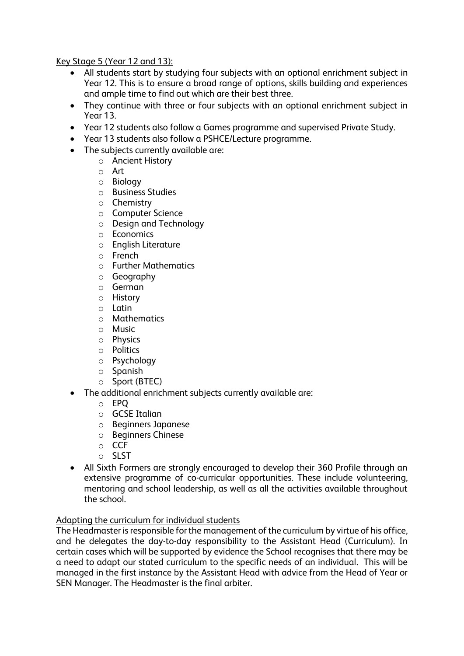Key Stage 5 (Year 12 and 13):

- All students start by studying four subjects with an optional enrichment subject in Year 12. This is to ensure a broad range of options, skills building and experiences and ample time to find out which are their best three.
- They continue with three or four subjects with an optional enrichment subject in Year 13.
- Year 12 students also follow a Games programme and supervised Private Study.
- Year 13 students also follow a PSHCE/Lecture programme.
- The subjects currently available are:
	- o Ancient History
		- o Art
		- o Biology
		- o Business Studies
		- o Chemistry
		- o Computer Science
		- o Design and Technology
		- o Economics
		- o English Literature
		- o French
		- o Further Mathematics
		- o Geography
		- o German
		- o History
		- o Latin
		- o Mathematics
		- o Music
		- o Physics
		- o Politics
		- o Psychology
		- o Spanish
		- o Sport (BTEC)
- The additional enrichment subjects currently available are:
	- o EPQ
	- o GCSE Italian
	- o Beginners Japanese
	- o Beginners Chinese
	- o CCF
	- o SLST
- All Sixth Formers are strongly encouraged to develop their 360 Profile through an extensive programme of co-curricular opportunities. These include volunteering, mentoring and school leadership, as well as all the activities available throughout the school.

## Adapting the curriculum for individual students

The Headmaster is responsible for the management of the curriculum by virtue of his office, and he delegates the day-to-day responsibility to the Assistant Head (Curriculum). In certain cases which will be supported by evidence the School recognises that there may be a need to adapt our stated curriculum to the specific needs of an individual. This will be managed in the first instance by the Assistant Head with advice from the Head of Year or SEN Manager. The Headmaster is the final arbiter.